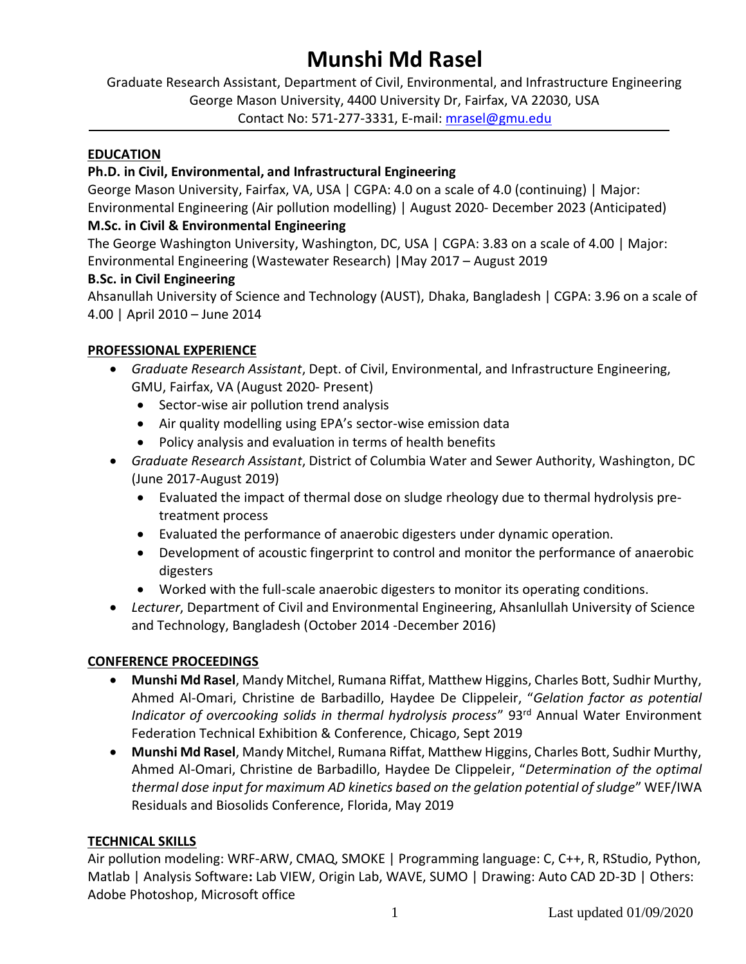# **Munshi Md Rasel**

Graduate Research Assistant, Department of Civil, Environmental, and Infrastructure Engineering George Mason University, 4400 University Dr, Fairfax, VA 22030, USA Contact No: 571-277-3331, E-mail: [mrasel@gmu.edu](mailto:mrasel@gmu.edu)

#### **EDUCATION**

## **Ph.D. in Civil, Environmental, and Infrastructural Engineering**

George Mason University, Fairfax, VA, USA | CGPA: 4.0 on a scale of 4.0 (continuing) | Major: Environmental Engineering (Air pollution modelling) | August 2020- December 2023 (Anticipated)

## **M.Sc. in Civil & Environmental Engineering**

The George Washington University, Washington, DC, USA | CGPA: 3.83 on a scale of 4.00 | Major: Environmental Engineering (Wastewater Research) |May 2017 – August 2019

## **B.Sc. in Civil Engineering**

Ahsanullah University of Science and Technology (AUST), Dhaka, Bangladesh | CGPA: 3.96 on a scale of 4.00 | April 2010 – June 2014

## **PROFESSIONAL EXPERIENCE**

- *Graduate Research Assistant*, Dept. of Civil, Environmental, and Infrastructure Engineering, GMU, Fairfax, VA (August 2020- Present)
	- Sector-wise air pollution trend analysis
	- Air quality modelling using EPA's sector-wise emission data
	- Policy analysis and evaluation in terms of health benefits
- *Graduate Research Assistant*, District of Columbia Water and Sewer Authority, Washington, DC (June 2017-August 2019)
	- Evaluated the impact of thermal dose on sludge rheology due to thermal hydrolysis pretreatment process
	- Evaluated the performance of anaerobic digesters under dynamic operation.
	- Development of acoustic fingerprint to control and monitor the performance of anaerobic digesters
	- Worked with the full-scale anaerobic digesters to monitor its operating conditions.
- *Lecturer*, Department of Civil and Environmental Engineering, Ahsanlullah University of Science and Technology, Bangladesh (October 2014 -December 2016)

## **CONFERENCE PROCEEDINGS**

- **Munshi Md Rasel**, Mandy Mitchel, Rumana Riffat, Matthew Higgins, Charles Bott, Sudhir Murthy, Ahmed Al-Omari, Christine de Barbadillo, Haydee De Clippeleir, "*Gelation factor as potential Indicator of overcooking solids in thermal hydrolysis process*" 93<sup>rd</sup> Annual Water Environment Federation Technical Exhibition & Conference, Chicago, Sept 2019
- **Munshi Md Rasel**, Mandy Mitchel, Rumana Riffat, Matthew Higgins, Charles Bott, Sudhir Murthy, Ahmed Al-Omari, Christine de Barbadillo, Haydee De Clippeleir, "*Determination of the optimal thermal dose input for maximum AD kinetics based on the gelation potential of sludge*" WEF/IWA Residuals and Biosolids Conference, Florida, May 2019

## **TECHNICAL SKILLS**

Air pollution modeling: WRF-ARW, CMAQ, SMOKE | Programming language: C, C++, R, RStudio, Python, Matlab | Analysis Software**:** Lab VIEW, Origin Lab, WAVE, SUMO | Drawing: Auto CAD 2D-3D | Others: Adobe Photoshop, Microsoft office